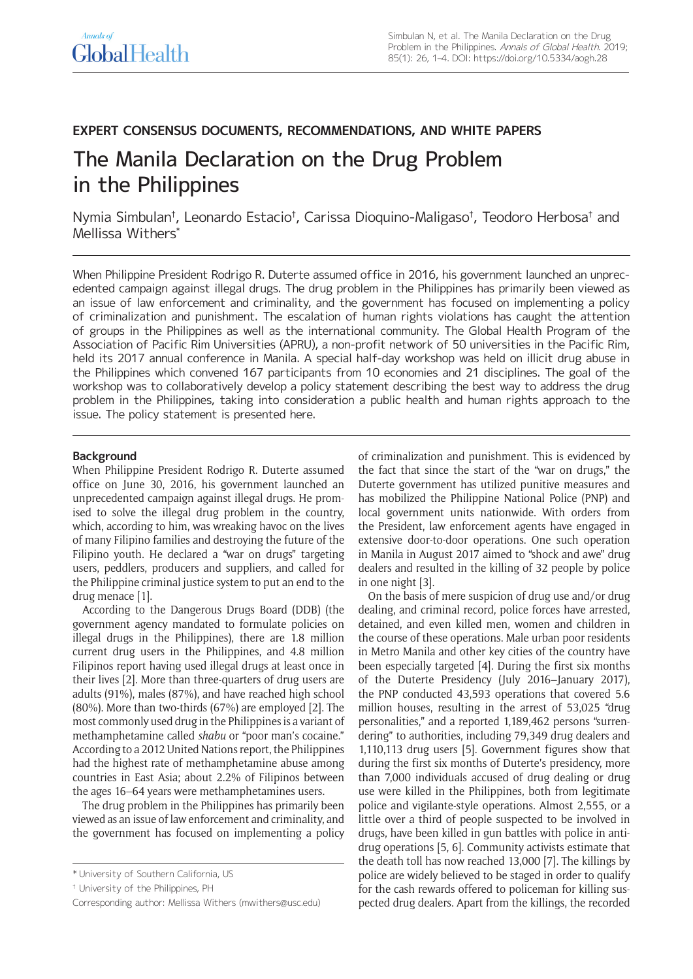## **EXPERT CONSENSUS DOCUMENTS, RECOMMENDATIONS, AND WHITE PAPERS**

# The Manila Declaration on the Drug Problem in the Philippines

Nymia Simbulan† , Leonardo Estacio† , Carissa Dioquino-Maligaso† , Teodoro Herbosa† and Mellissa Withers\*

When Philippine President Rodrigo R. Duterte assumed office in 2016, his government launched an unprecedented campaign against illegal drugs. The drug problem in the Philippines has primarily been viewed as an issue of law enforcement and criminality, and the government has focused on implementing a policy of criminalization and punishment. The escalation of human rights violations has caught the attention of groups in the Philippines as well as the international community. The Global Health Program of the Association of Pacific Rim Universities (APRU), a non-profit network of 50 universities in the Pacific Rim, held its 2017 annual conference in Manila. A special half-day workshop was held on illicit drug abuse in the Philippines which convened 167 participants from 10 economies and 21 disciplines. The goal of the workshop was to collaboratively develop a policy statement describing the best way to address the drug problem in the Philippines, taking into consideration a public health and human rights approach to the issue. The policy statement is presented here.

#### **Background**

When Philippine President Rodrigo R. Duterte assumed office on June 30, 2016, his government launched an unprecedented campaign against illegal drugs. He promised to solve the illegal drug problem in the country, which, according to him, was wreaking havoc on the lives of many Filipino families and destroying the future of the Filipino youth. He declared a "war on drugs" targeting users, peddlers, producers and suppliers, and called for the Philippine criminal justice system to put an end to the drug menace [1].

According to the Dangerous Drugs Board (DDB) (the government agency mandated to formulate policies on illegal drugs in the Philippines), there are 1.8 million current drug users in the Philippines, and 4.8 million Filipinos report having used illegal drugs at least once in their lives [2]. More than three-quarters of drug users are adults (91%), males (87%), and have reached high school (80%). More than two-thirds (67%) are employed [2]. The most commonly used drug in the Philippines is a variant of methamphetamine called *shabu* or "poor man's cocaine." According to a 2012 United Nations report, the Philippines had the highest rate of methamphetamine abuse among countries in East Asia; about 2.2% of Filipinos between the ages 16–64 years were methamphetamines users.

The drug problem in the Philippines has primarily been viewed as an issue of law enforcement and criminality, and the government has focused on implementing a policy of criminalization and punishment. This is evidenced by the fact that since the start of the "war on drugs," the Duterte government has utilized punitive measures and has mobilized the Philippine National Police (PNP) and local government units nationwide. With orders from the President, law enforcement agents have engaged in extensive door-to-door operations. One such operation in Manila in August 2017 aimed to "shock and awe" drug dealers and resulted in the killing of 32 people by police in one night [3].

On the basis of mere suspicion of drug use and/or drug dealing, and criminal record, police forces have arrested, detained, and even killed men, women and children in the course of these operations. Male urban poor residents in Metro Manila and other key cities of the country have been especially targeted [4]. During the first six months of the Duterte Presidency (July 2016–January 2017), the PNP conducted 43,593 operations that covered 5.6 million houses, resulting in the arrest of 53,025 "drug personalities," and a reported 1,189,462 persons "surrendering" to authorities, including 79,349 drug dealers and 1,110,113 drug users [5]. Government figures show that during the first six months of Duterte's presidency, more than 7,000 individuals accused of drug dealing or drug use were killed in the Philippines, both from legitimate police and vigilante-style operations. Almost 2,555, or a little over a third of people suspected to be involved in drugs, have been killed in gun battles with police in antidrug operations [5, 6]. Community activists estimate that the death toll has now reached 13,000 [7]. The killings by police are widely believed to be staged in order to qualify for the cash rewards offered to policeman for killing suspected drug dealers. Apart from the killings, the recorded

<sup>\*</sup> University of Southern California, US

<sup>†</sup> University of the Philippines, PH

Corresponding author: Mellissa Withers [\(mwithers@usc.edu\)](mailto:mwithers@usc.edu)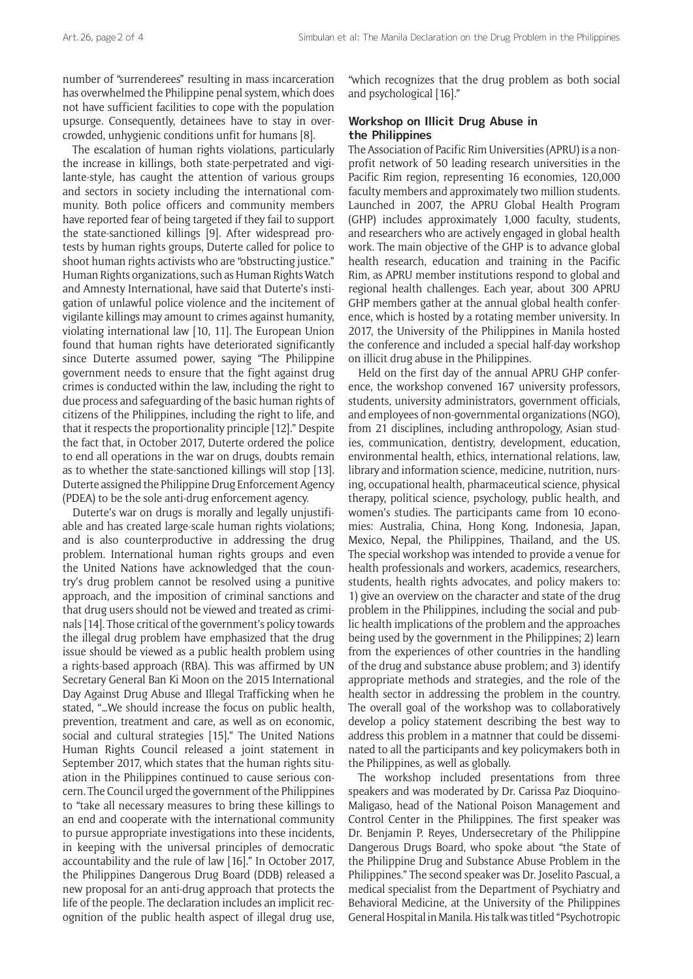number of "surrenderees" resulting in mass incarceration has overwhelmed the Philippine penal system, which does not have sufficient facilities to cope with the population upsurge. Consequently, detainees have to stay in overcrowded, unhygienic conditions unfit for humans [8].

The escalation of human rights violations, particularly the increase in killings, both state-perpetrated and vigilante-style, has caught the attention of various groups and sectors in society including the international community. Both police officers and community members have reported fear of being targeted if they fail to support the state-sanctioned killings [9]. After widespread protests by human rights groups, Duterte called for police to shoot human rights activists who are "obstructing justice." Human Rights organizations, such as Human Rights Watch and Amnesty International, have said that Duterte's instigation of unlawful police violence and the incitement of vigilante killings may amount to crimes against humanity, violating international law [10, 11]. The European Union found that human rights have deteriorated significantly since Duterte assumed power, saying "The Philippine government needs to ensure that the fight against drug crimes is conducted within the law, including the right to due process and safeguarding of the basic human rights of citizens of the Philippines, including the right to life, and that it respects the proportionality principle [12]." Despite the fact that, in October 2017, Duterte ordered the police to end all operations in the war on drugs, doubts remain as to whether the state-sanctioned killings will stop [13]. Duterte assigned the Philippine Drug Enforcement Agency (PDEA) to be the sole anti-drug enforcement agency.

Duterte's war on drugs is morally and legally unjustifiable and has created large-scale human rights violations; and is also counterproductive in addressing the drug problem. International human rights groups and even the United Nations have acknowledged that the country's drug problem cannot be resolved using a punitive approach, and the imposition of criminal sanctions and that drug users should not be viewed and treated as criminals [14]. Those critical of the government's policy towards the illegal drug problem have emphasized that the drug issue should be viewed as a public health problem using a rights-based approach (RBA). This was affirmed by UN Secretary General Ban Ki Moon on the 2015 International Day Against Drug Abuse and Illegal Trafficking when he stated, "…We should increase the focus on public health, prevention, treatment and care, as well as on economic, social and cultural strategies [15]." The United Nations Human Rights Council released a joint statement in September 2017, which states that the human rights situation in the Philippines continued to cause serious concern. The Council urged the government of the Philippines to "take all necessary measures to bring these killings to an end and cooperate with the international community to pursue appropriate investigations into these incidents, in keeping with the universal principles of democratic accountability and the rule of law [16]." In October 2017, the Philippines Dangerous Drug Board (DDB) released a new proposal for an anti-drug approach that protects the life of the people. The declaration includes an implicit recognition of the public health aspect of illegal drug use,

"which recognizes that the drug problem as both social and psychological [16]."

## **Workshop on Illicit Drug Abuse in the Philippines**

The Association of Pacific Rim Universities (APRU) is a nonprofit network of 50 leading research universities in the Pacific Rim region, representing 16 economies, 120,000 faculty members and approximately two million students. Launched in 2007, the APRU Global Health Program (GHP) includes approximately 1,000 faculty, students, and researchers who are actively engaged in global health work. The main objective of the GHP is to advance global health research, education and training in the Pacific Rim, as APRU member institutions respond to global and regional health challenges. Each year, about 300 APRU GHP members gather at the annual global health conference, which is hosted by a rotating member university. In 2017, the University of the Philippines in Manila hosted the conference and included a special half-day workshop on illicit drug abuse in the Philippines.

Held on the first day of the annual APRU GHP conference, the workshop convened 167 university professors, students, university administrators, government officials, and employees of non-governmental organizations (NGO), from 21 disciplines, including anthropology, Asian studies, communication, dentistry, development, education, environmental health, ethics, international relations, law, library and information science, medicine, nutrition, nursing, occupational health, pharmaceutical science, physical therapy, political science, psychology, public health, and women's studies. The participants came from 10 economies: Australia, China, Hong Kong, Indonesia, Japan, Mexico, Nepal, the Philippines, Thailand, and the US. The special workshop was intended to provide a venue for health professionals and workers, academics, researchers, students, health rights advocates, and policy makers to: 1) give an overview on the character and state of the drug problem in the Philippines, including the social and public health implications of the problem and the approaches being used by the government in the Philippines; 2) learn from the experiences of other countries in the handling of the drug and substance abuse problem; and 3) identify appropriate methods and strategies, and the role of the health sector in addressing the problem in the country. The overall goal of the workshop was to collaboratively develop a policy statement describing the best way to address this problem in a matnner that could be disseminated to all the participants and key policymakers both in the Philippines, as well as globally.

The workshop included presentations from three speakers and was moderated by Dr. Carissa Paz Dioquino-Maligaso, head of the National Poison Management and Control Center in the Philippines. The first speaker was Dr. Benjamin P. Reyes, Undersecretary of the Philippine Dangerous Drugs Board, who spoke about "the State of the Philippine Drug and Substance Abuse Problem in the Philippines." The second speaker was Dr. Joselito Pascual, a medical specialist from the Department of Psychiatry and Behavioral Medicine, at the University of the Philippines General Hospital in Manila. His talk was titled "Psychotropic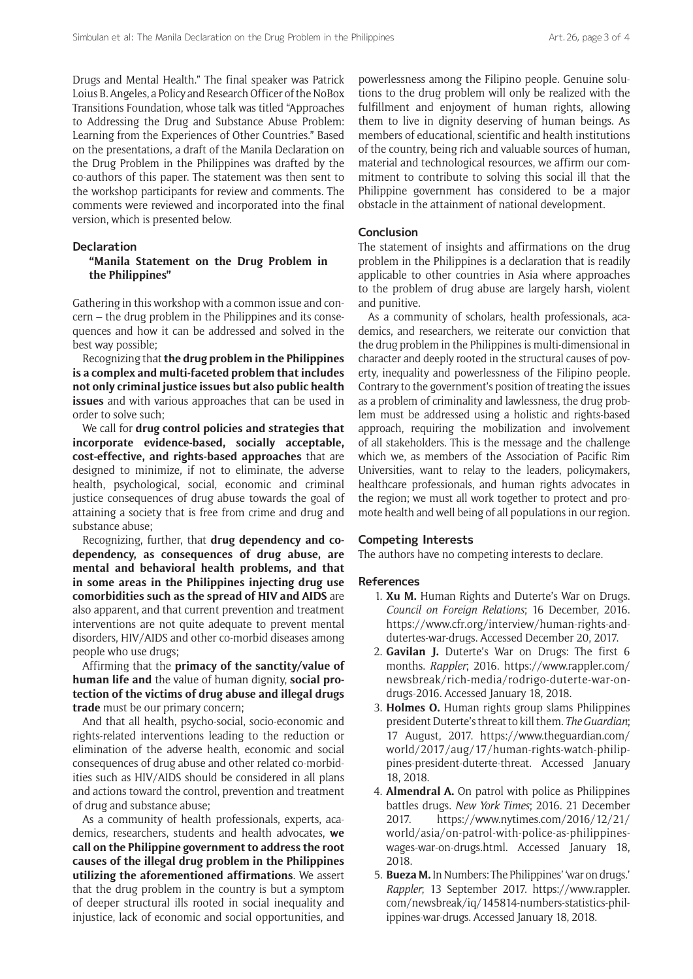Drugs and Mental Health." The final speaker was Patrick Loius B. Angeles, a Policy and Research Officer of the NoBox Transitions Foundation, whose talk was titled "Approaches to Addressing the Drug and Substance Abuse Problem: Learning from the Experiences of Other Countries." Based on the presentations, a draft of the Manila Declaration on the Drug Problem in the Philippines was drafted by the co-authors of this paper. The statement was then sent to the workshop participants for review and comments. The comments were reviewed and incorporated into the final version, which is presented below.

## **Declaration**

## **"Manila Statement on the Drug Problem in the Philippines"**

Gathering in this workshop with a common issue and concern – the drug problem in the Philippines and its consequences and how it can be addressed and solved in the best way possible;

Recognizing that **the drug problem in the Philippines is a complex and multi-faceted problem that includes not only criminal justice issues but also public health issues** and with various approaches that can be used in order to solve such;

We call for **drug control policies and strategies that incorporate evidence-based, socially acceptable, cost-effective, and rights-based approaches** that are designed to minimize, if not to eliminate, the adverse health, psychological, social, economic and criminal justice consequences of drug abuse towards the goal of attaining a society that is free from crime and drug and substance abuse;

Recognizing, further, that **drug dependency and codependency, as consequences of drug abuse, are mental and behavioral health problems, and that in some areas in the Philippines injecting drug use comorbidities such as the spread of HIV and AIDS** are also apparent, and that current prevention and treatment interventions are not quite adequate to prevent mental disorders, HIV/AIDS and other co-morbid diseases among people who use drugs;

Affirming that the **primacy of the sanctity/value of human life and** the value of human dignity, **social protection of the victims of drug abuse and illegal drugs trade** must be our primary concern;

And that all health, psycho-social, socio-economic and rights-related interventions leading to the reduction or elimination of the adverse health, economic and social consequences of drug abuse and other related co-morbidities such as HIV/AIDS should be considered in all plans and actions toward the control, prevention and treatment of drug and substance abuse;

As a community of health professionals, experts, academics, researchers, students and health advocates, **we call on the Philippine government to address the root causes of the illegal drug problem in the Philippines utilizing the aforementioned affirmations**. We assert that the drug problem in the country is but a symptom of deeper structural ills rooted in social inequality and injustice, lack of economic and social opportunities, and

powerlessness among the Filipino people. Genuine solutions to the drug problem will only be realized with the fulfillment and enjoyment of human rights, allowing them to live in dignity deserving of human beings. As members of educational, scientific and health institutions of the country, being rich and valuable sources of human, material and technological resources, we affirm our commitment to contribute to solving this social ill that the Philippine government has considered to be a major obstacle in the attainment of national development.

#### **Conclusion**

The statement of insights and affirmations on the drug problem in the Philippines is a declaration that is readily applicable to other countries in Asia where approaches to the problem of drug abuse are largely harsh, violent and punitive.

As a community of scholars, health professionals, academics, and researchers, we reiterate our conviction that the drug problem in the Philippines is multi-dimensional in character and deeply rooted in the structural causes of poverty, inequality and powerlessness of the Filipino people. Contrary to the government's position of treating the issues as a problem of criminality and lawlessness, the drug problem must be addressed using a holistic and rights-based approach, requiring the mobilization and involvement of all stakeholders. This is the message and the challenge which we, as members of the Association of Pacific Rim Universities, want to relay to the leaders, policymakers, healthcare professionals, and human rights advocates in the region; we must all work together to protect and promote health and well being of all populations in our region.

#### **Competing Interests**

The authors have no competing interests to declare.

#### **References**

- 1. **Xu M.** Human Rights and Duterte's War on Drugs. *Council on Foreign Relations*; 16 December, 2016. [https://www.cfr.org/interview/human-rights-and](https://www.cfr.org/interview/human-rights-and-dutertes-war-drugs)[dutertes-war-drugs](https://www.cfr.org/interview/human-rights-and-dutertes-war-drugs). Accessed December 20, 2017.
- 2. **Gavilan J.** Duterte's War on Drugs: The first 6 months. *Rappler*; 2016. [https://www.rappler.com/](https://www.rappler.com/newsbreak/rich-media/rodrigo-duterte-war-on-drugs-2016) [newsbreak/rich-media/rodrigo-duterte-war-on](https://www.rappler.com/newsbreak/rich-media/rodrigo-duterte-war-on-drugs-2016)[drugs-2016.](https://www.rappler.com/newsbreak/rich-media/rodrigo-duterte-war-on-drugs-2016) Accessed January 18, 2018.
- 3. **Holmes O.** Human rights group slams Philippines president Duterte's threat to kill them. *The Guardian*; 17 August, 2017. [https://www.theguardian.com/](https://www.theguardian.com/world/2017/aug/17/human-rights-watch-philippines-president-duterte-threat) [world/2017/aug/17/human-rights-watch-philip](https://www.theguardian.com/world/2017/aug/17/human-rights-watch-philippines-president-duterte-threat)[pines-president-duterte-threat.](https://www.theguardian.com/world/2017/aug/17/human-rights-watch-philippines-president-duterte-threat) Accessed January 18, 2018.
- 4. **Almendral A.** On patrol with police as Philippines battles drugs. *New York Times*; 2016. 21 December 2017. [https://www.nytimes.com/2016/12/21/](https://www.nytimes.com/2016/12/21/world/asia/on-patrol-with-police-as-philippines-wages-war-on-drugs.html) [world/asia/on-patrol-with-police-as-philippines](https://www.nytimes.com/2016/12/21/world/asia/on-patrol-with-police-as-philippines-wages-war-on-drugs.html)[wages-war-on-drugs.html](https://www.nytimes.com/2016/12/21/world/asia/on-patrol-with-police-as-philippines-wages-war-on-drugs.html). Accessed January 18, 2018.
- 5. **Bueza M.** In Numbers: The Philippines' 'war on drugs.' *Rappler*; 13 September 2017. [https://www.rappler.](https://www.rappler.com/newsbreak/iq/145814-numbers-statistics-philippines-war-drugs) [com/newsbreak/iq/145814-numbers-statistics-phil](https://www.rappler.com/newsbreak/iq/145814-numbers-statistics-philippines-war-drugs)[ippines-war-drugs.](https://www.rappler.com/newsbreak/iq/145814-numbers-statistics-philippines-war-drugs) Accessed January 18, 2018.